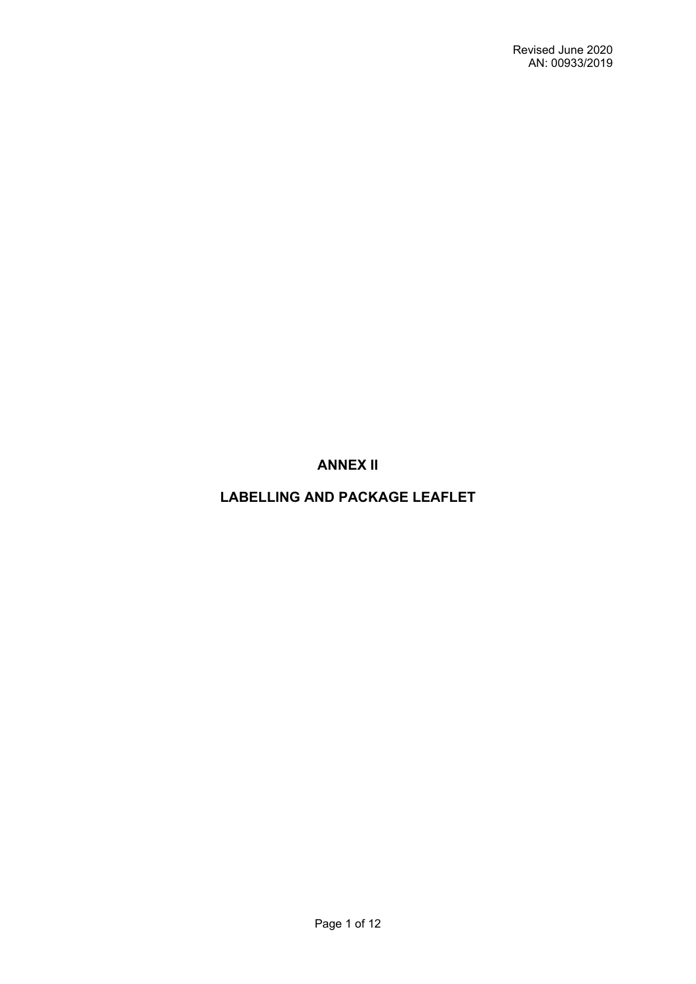**ANNEX II**

**LABELLING AND PACKAGE LEAFLET**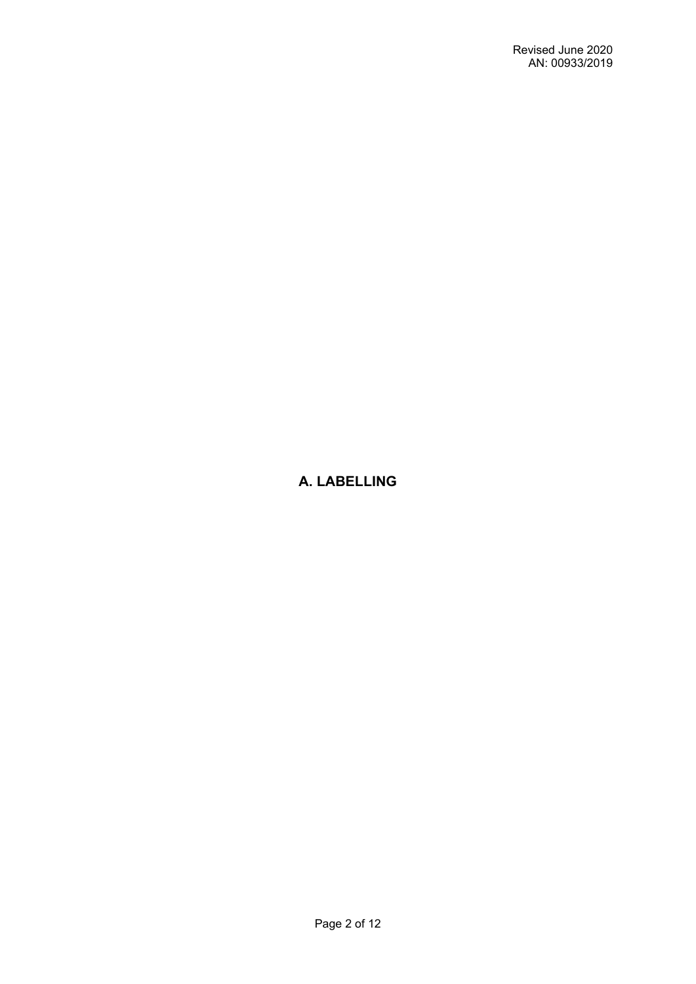# **A. LABELLING**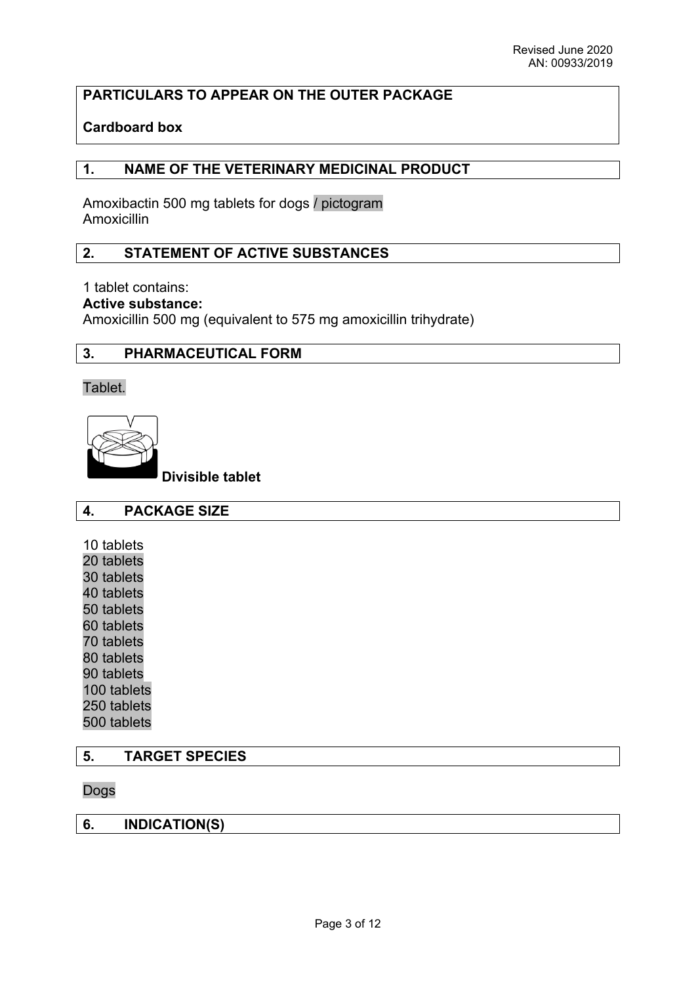# **PARTICULARS TO APPEAR ON THE OUTER PACKAGE**

# **Cardboard box**

### **1. NAME OF THE VETERINARY MEDICINAL PRODUCT**

Amoxibactin 500 mg tablets for dogs / pictogram Amoxicillin

## **2. STATEMENT OF ACTIVE SUBSTANCES**

### 1 tablet contains:

**Active substance:** 

Amoxicillin 500 mg (equivalent to 575 mg amoxicillin trihydrate)

### **3. PHARMACEUTICAL FORM**

Tablet.

**Divisible tablet**

### **4. PACKAGE SIZE**

- 10 tablets
- 20 tablets
- 30 tablets
- 40 tablets
- 50 tablets
- 60 tablets
- 70 tablets
- 80 tablets
- 90 tablets 100 tablets
- 
- 250 tablets 500 tablets

### **5. TARGET SPECIES**

#### Dogs

### **6. INDICATION(S)**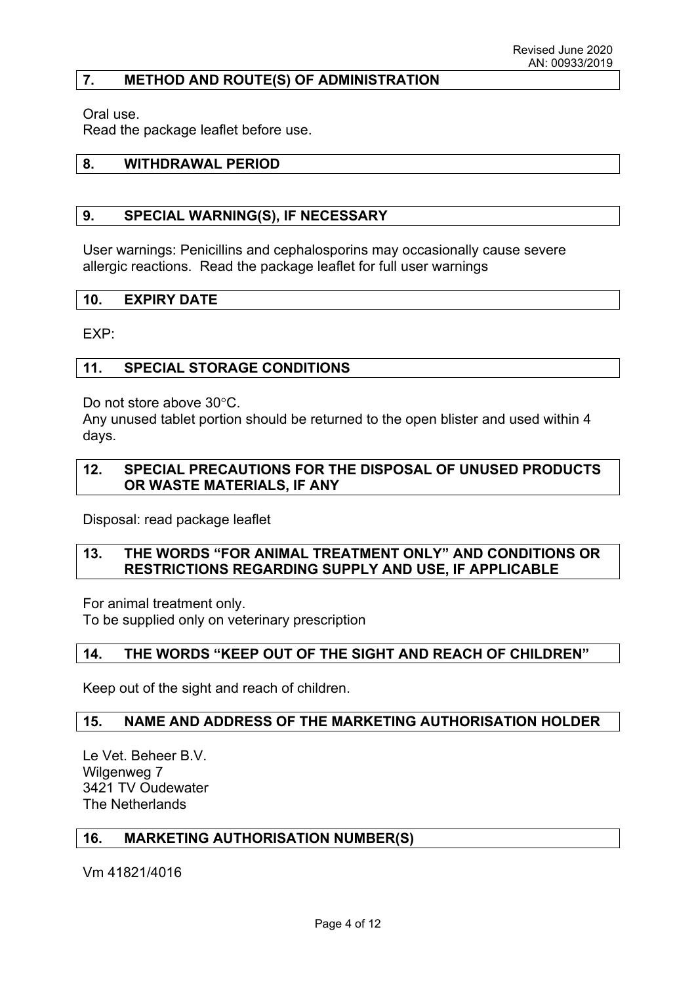### **7. METHOD AND ROUTE(S) OF ADMINISTRATION**

Oral use.

Read the package leaflet before use.

### **8. WITHDRAWAL PERIOD**

### **9. SPECIAL WARNING(S), IF NECESSARY**

User warnings: Penicillins and cephalosporins may occasionally cause severe allergic reactions. Read the package leaflet for full user warnings

#### **10. EXPIRY DATE**

EXP:

### **11. SPECIAL STORAGE CONDITIONS**

Do not store above 30°C.

Any unused tablet portion should be returned to the open blister and used within 4 days.

### **12. SPECIAL PRECAUTIONS FOR THE DISPOSAL OF UNUSED PRODUCTS OR WASTE MATERIALS, IF ANY**

Disposal: read package leaflet

### **13. THE WORDS "FOR ANIMAL TREATMENT ONLY" AND CONDITIONS OR RESTRICTIONS REGARDING SUPPLY AND USE, IF APPLICABLE**

For animal treatment only.

To be supplied only on veterinary prescription

#### **14. THE WORDS "KEEP OUT OF THE SIGHT AND REACH OF CHILDREN"**

Keep out of the sight and reach of children.

#### **15. NAME AND ADDRESS OF THE MARKETING AUTHORISATION HOLDER**

Le Vet. Beheer B.V. Wilgenweg 7 3421 TV Oudewater The Netherlands

#### **16. MARKETING AUTHORISATION NUMBER(S)**

Vm 41821/4016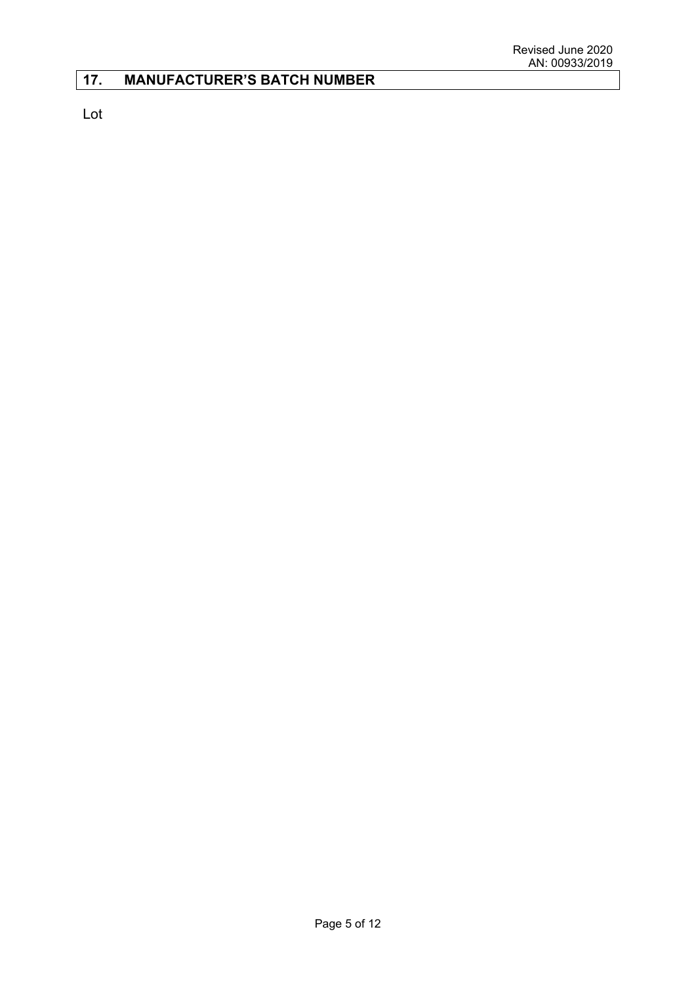# **17. MANUFACTURER'S BATCH NUMBER**

Lot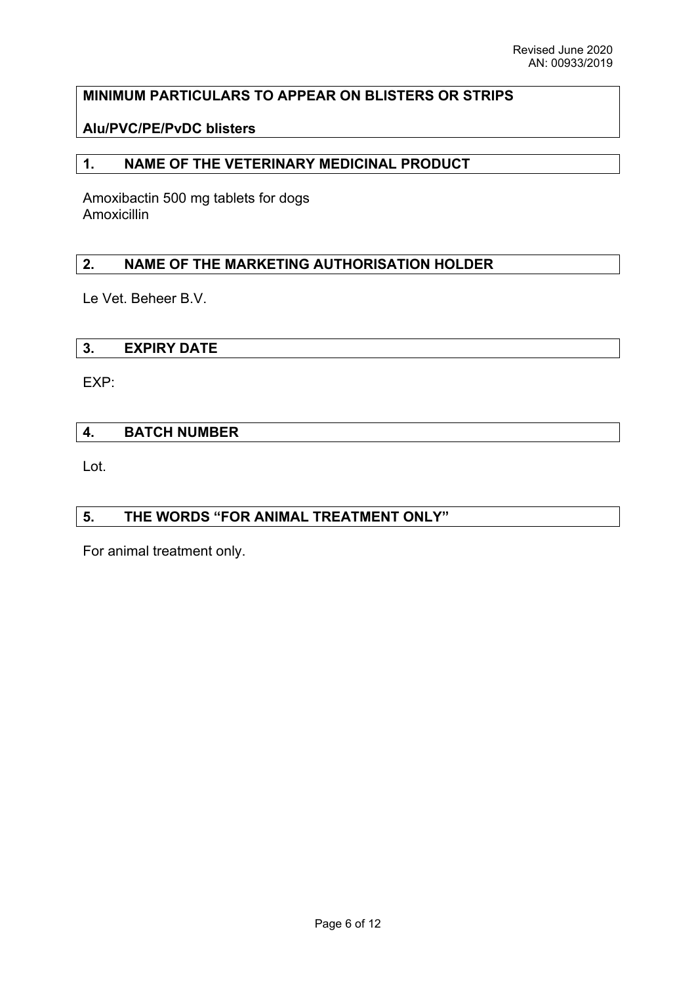# **MINIMUM PARTICULARS TO APPEAR ON BLISTERS OR STRIPS**

# **Alu/PVC/PE/PvDC blisters**

# **1. NAME OF THE VETERINARY MEDICINAL PRODUCT**

Amoxibactin 500 mg tablets for dogs Amoxicillin

# **2. NAME OF THE MARKETING AUTHORISATION HOLDER**

Le Vet. Beheer B.V.

### **3. EXPIRY DATE**

EXP:

# **4. BATCH NUMBER**

Lot.

### **5. THE WORDS "FOR ANIMAL TREATMENT ONLY"**

For animal treatment only.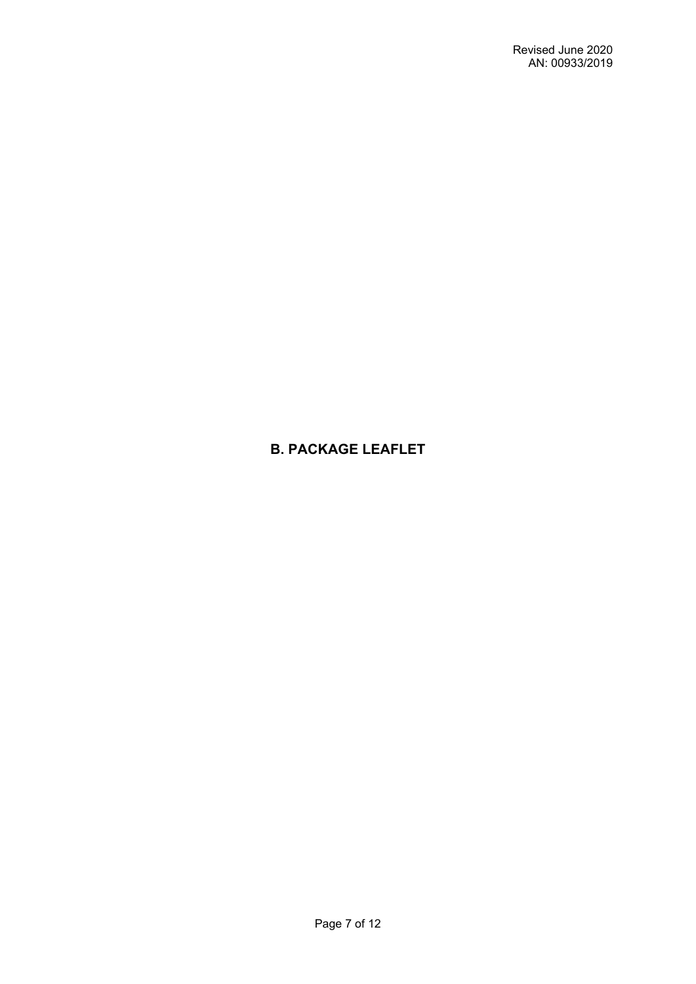# **B. PACKAGE LEAFLET**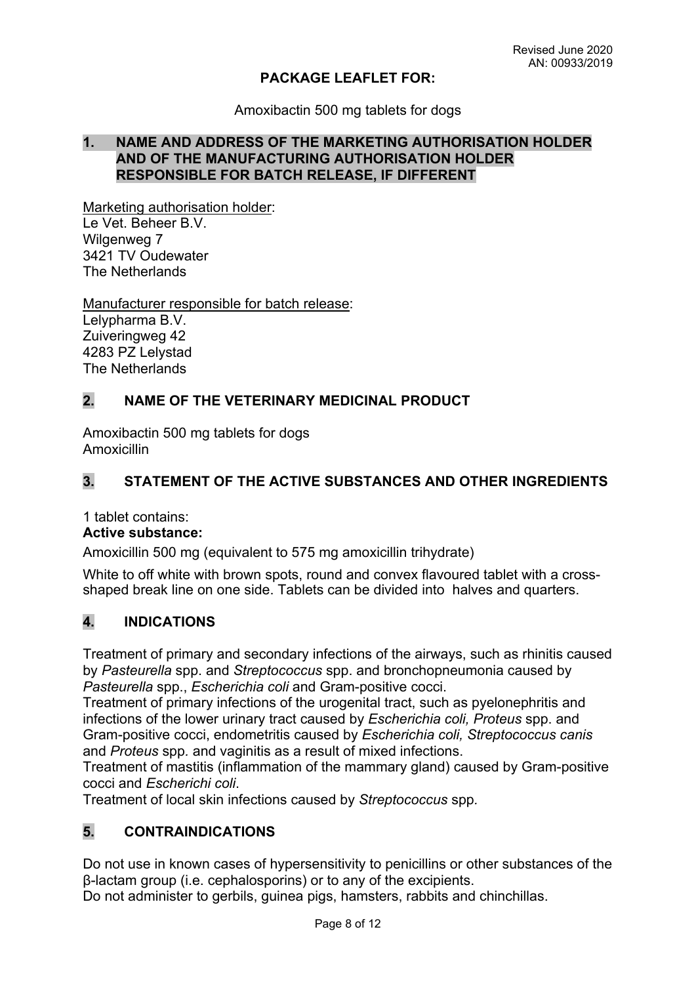### **PACKAGE LEAFLET FOR:**

Amoxibactin 500 mg tablets for dogs

## **1. NAME AND ADDRESS OF THE MARKETING AUTHORISATION HOLDER AND OF THE MANUFACTURING AUTHORISATION HOLDER RESPONSIBLE FOR BATCH RELEASE, IF DIFFERENT**

Marketing authorisation holder: Le Vet. Beheer B.V. Wilgenweg 7 3421 TV Oudewater The Netherlands

Manufacturer responsible for batch release: Lelypharma B.V. Zuiveringweg 42 4283 PZ Lelystad The Netherlands

# **2. NAME OF THE VETERINARY MEDICINAL PRODUCT**

Amoxibactin 500 mg tablets for dogs Amoxicillin

# **3. STATEMENT OF THE ACTIVE SUBSTANCES AND OTHER INGREDIENTS**

1 tablet contains:

### **Active substance:**

Amoxicillin 500 mg (equivalent to 575 mg amoxicillin trihydrate)

White to off white with brown spots, round and convex flavoured tablet with a crossshaped break line on one side. Tablets can be divided into halves and quarters.

# **4. INDICATIONS**

Treatment of primary and secondary infections of the airways, such as rhinitis caused by *Pasteurella* spp. and *Streptococcus* spp. and bronchopneumonia caused by *Pasteurella* spp., *Escherichia coli* and Gram-positive cocci.

Treatment of primary infections of the urogenital tract, such as pyelonephritis and infections of the lower urinary tract caused by *Escherichia coli, Proteus* spp. and Gram-positive cocci, endometritis caused by *Escherichia coli, Streptococcus canis*  and *Proteus* spp*.* and vaginitis as a result of mixed infections.

Treatment of mastitis (inflammation of the mammary gland) caused by Gram-positive cocci and *Escherichi coli*.

Treatment of local skin infections caused by *Streptococcus* spp*.*

# **5. CONTRAINDICATIONS**

Do not use in known cases of hypersensitivity to penicillins or other substances of the β-lactam group (i.e. cephalosporins) or to any of the excipients.

Do not administer to gerbils, guinea pigs, hamsters, rabbits and chinchillas.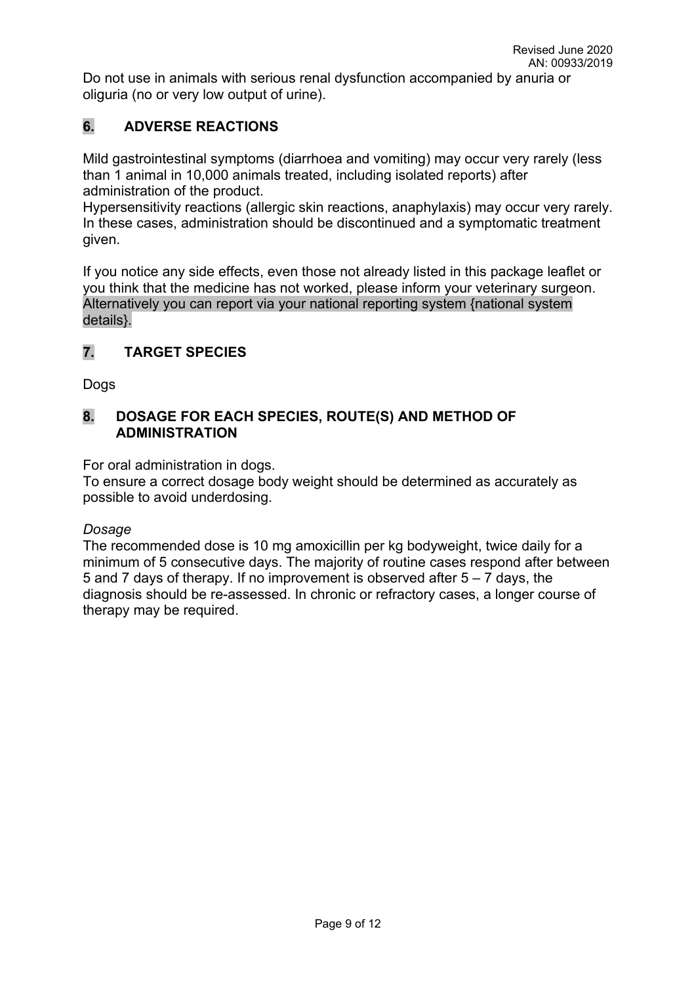Do not use in animals with serious renal dysfunction accompanied by anuria or oliguria (no or very low output of urine).

# **6. ADVERSE REACTIONS**

Mild gastrointestinal symptoms (diarrhoea and vomiting) may occur very rarely (less than 1 animal in 10,000 animals treated, including isolated reports) after administration of the product.

Hypersensitivity reactions (allergic skin reactions, anaphylaxis) may occur very rarely. In these cases, administration should be discontinued and a symptomatic treatment given.

If you notice any side effects, even those not already listed in this package leaflet or you think that the medicine has not worked, please inform your veterinary surgeon. Alternatively you can report via your national reporting system {national system details}.

# **7. TARGET SPECIES**

Dogs

# **8. DOSAGE FOR EACH SPECIES, ROUTE(S) AND METHOD OF ADMINISTRATION**

For oral administration in dogs.

To ensure a correct dosage body weight should be determined as accurately as possible to avoid underdosing.

# *Dosage*

The recommended dose is 10 mg amoxicillin per kg bodyweight, twice daily for a minimum of 5 consecutive days. The majority of routine cases respond after between 5 and 7 days of therapy. If no improvement is observed after  $5 - 7$  days, the diagnosis should be re-assessed. In chronic or refractory cases, a longer course of therapy may be required.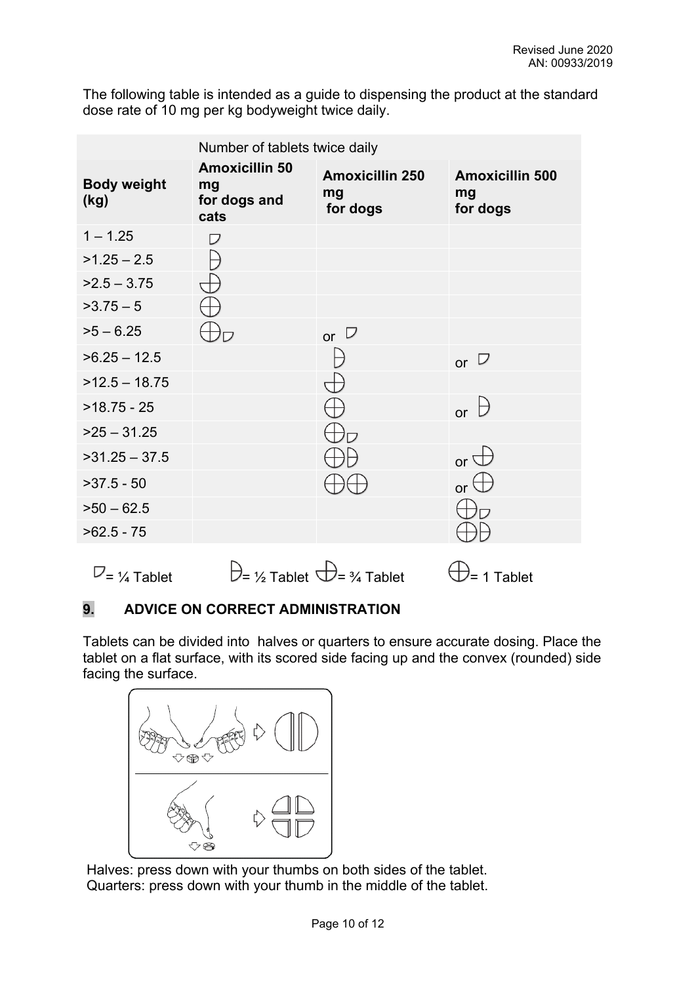The following table is intended as a guide to dispensing the product at the standard dose rate of 10 mg per kg bodyweight twice daily.

|                            | Number of tablets twice daily                       |                                          |                                          |
|----------------------------|-----------------------------------------------------|------------------------------------------|------------------------------------------|
| <b>Body weight</b><br>(kg) | <b>Amoxicillin 50</b><br>mg<br>for dogs and<br>cats | <b>Amoxicillin 250</b><br>mg<br>for dogs | <b>Amoxicillin 500</b><br>mg<br>for dogs |
| $1 - 1.25$                 | ヮ                                                   |                                          |                                          |
| $>1.25 - 2.5$              |                                                     |                                          |                                          |
| $>2.5 - 3.75$              |                                                     |                                          |                                          |
| $>3.75-5$                  |                                                     |                                          |                                          |
| $>5 - 6.25$                |                                                     | or $\Box$                                |                                          |
| $>6.25 - 12.5$             |                                                     |                                          | or $\nabla$                              |
| $>12.5 - 18.75$            |                                                     |                                          |                                          |
| $>18.75 - 25$              |                                                     |                                          | $\mapsto$<br>$\alpha$                    |
| $>25 - 31.25$              |                                                     |                                          |                                          |
| $>31.25 - 37.5$            |                                                     |                                          | or $\Box$                                |
| $>37.5 - 50$               |                                                     |                                          | or $\Box$                                |
| $50 - 62.5$                |                                                     |                                          |                                          |
| $>62.5 - 75$               |                                                     |                                          |                                          |

 $\nabla = \frac{1}{4}$  Tablet  $\Theta = \frac{1}{2}$  Tablet  $\Theta = \frac{3}{4}$  Tablet  $\Theta = 1$  Tablet

# **9. ADVICE ON CORRECT ADMINISTRATION**

Tablets can be divided into halves or quarters to ensure accurate dosing. Place the tablet on a flat surface, with its scored side facing up and the convex (rounded) side facing the surface.



 Halves: press down with your thumbs on both sides of the tablet. Quarters: press down with your thumb in the middle of the tablet.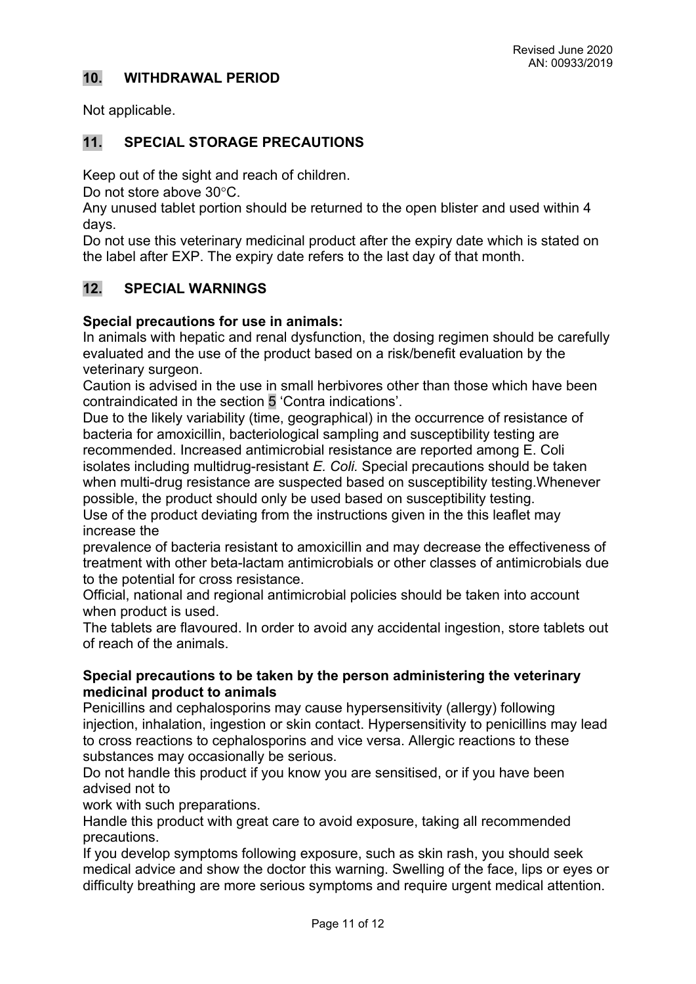# **10. WITHDRAWAL PERIOD**

Not applicable.

# **11. SPECIAL STORAGE PRECAUTIONS**

Keep out of the sight and reach of children.

Do not store above 30°C.

Any unused tablet portion should be returned to the open blister and used within 4 days.

Do not use this veterinary medicinal product after the expiry date which is stated on the label after EXP. The expiry date refers to the last day of that month.

# **12. SPECIAL WARNINGS**

### **Special precautions for use in animals:**

In animals with hepatic and renal dysfunction, the dosing regimen should be carefully evaluated and the use of the product based on a risk/benefit evaluation by the veterinary surgeon.

Caution is advised in the use in small herbivores other than those which have been contraindicated in the section 5 'Contra indications'.

Due to the likely variability (time, geographical) in the occurrence of resistance of bacteria for amoxicillin, bacteriological sampling and susceptibility testing are recommended. Increased antimicrobial resistance are reported among E. Coli isolates including multidrug-resistant *E. Coli.* Special precautions should be taken when multi-drug resistance are suspected based on susceptibility testing.Whenever possible, the product should only be used based on susceptibility testing.

Use of the product deviating from the instructions given in the this leaflet may increase the

prevalence of bacteria resistant to amoxicillin and may decrease the effectiveness of treatment with other beta-lactam antimicrobials or other classes of antimicrobials due to the potential for cross resistance.

Official, national and regional antimicrobial policies should be taken into account when product is used.

The tablets are flavoured. In order to avoid any accidental ingestion, store tablets out of reach of the animals.

### **Special precautions to be taken by the person administering the veterinary medicinal product to animals**

Penicillins and cephalosporins may cause hypersensitivity (allergy) following injection, inhalation, ingestion or skin contact. Hypersensitivity to penicillins may lead to cross reactions to cephalosporins and vice versa. Allergic reactions to these substances may occasionally be serious.

Do not handle this product if you know you are sensitised, or if you have been advised not to

work with such preparations.

Handle this product with great care to avoid exposure, taking all recommended precautions.

If you develop symptoms following exposure, such as skin rash, you should seek medical advice and show the doctor this warning. Swelling of the face, lips or eyes or difficulty breathing are more serious symptoms and require urgent medical attention.